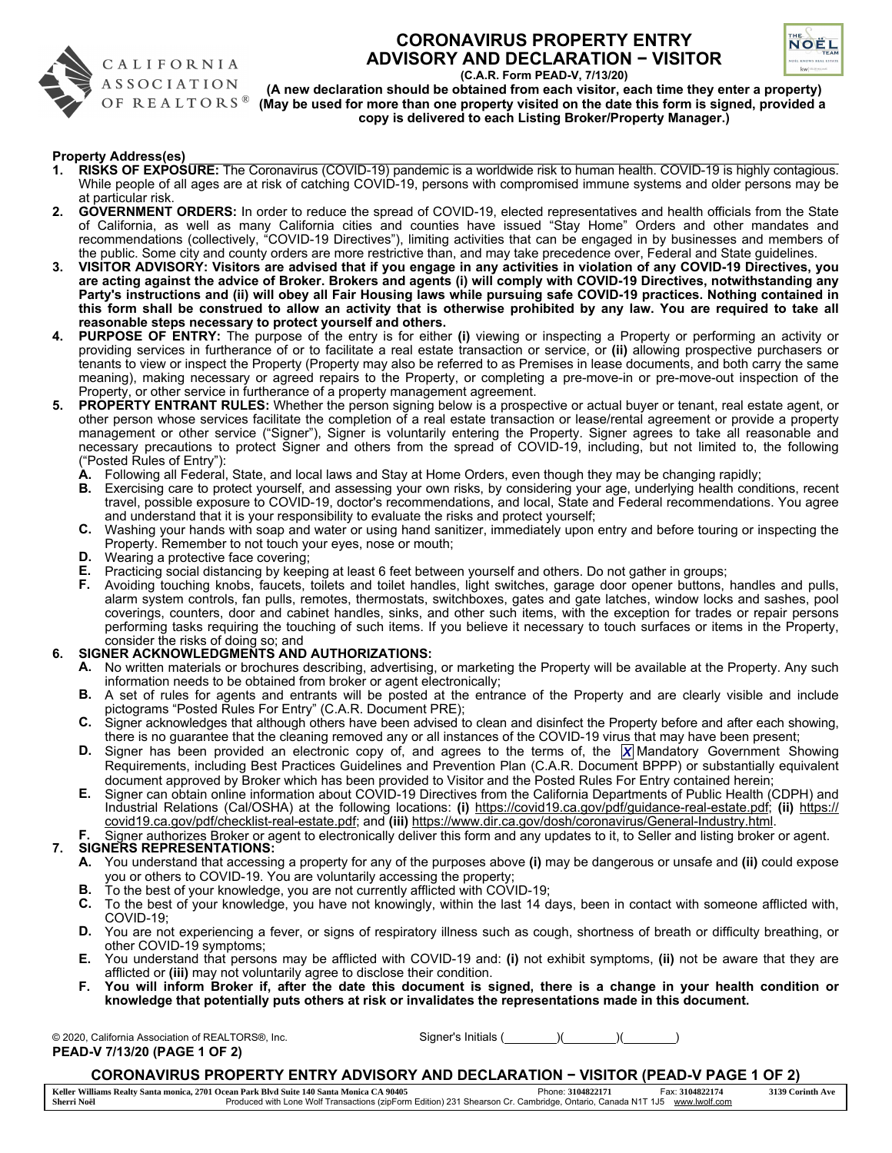

### CALIFORNIA **ASSOCIATION** OF REALTORS<sup>®</sup>

#### CORONAVIRUS PROPERTY ENTRY ADVISORY AND DECLARATION − VISITOR (C.A.R. Form PEAD-V, 7/13/20)



(A new declaration should be obtained from each visitor, each time they enter a property) (May be used for more than one property visited on the date this form is signed, provided a copy is delivered to each Listing Broker/Property Manager.)

#### Property Address(es)

- 1. RISKS OF EXPOSURE: The Coronavirus (COVID-19) pandemic is a worldwide risk to human health. COVID-19 is highly contagious. While people of all ages are at risk of catching COVID-19, persons with compromised immune systems and older persons may be at particular risk.
- 2. GOVERNMENT ORDERS: In order to reduce the spread of COVID-19, elected representatives and health officials from the State of California, as well as many California cities and counties have issued "Stay Home" Orders and other mandates and recommendations (collectively, "COVID-19 Directives"), limiting activities that can be engaged in by businesses and members of the public. Some city and county orders are more restrictive than, and may take precedence over, Federal and State guidelines.
- 3. VISITOR ADVISORY: Visitors are advised that if you engage in any activities in violation of any COVID-19 Directives, you are acting against the advice of Broker. Brokers and agents (i) will comply with COVID-19 Directives, notwithstanding any Party's instructions and (ii) will obey all Fair Housing laws while pursuing safe COVID-19 practices. Nothing contained in this form shall be construed to allow an activity that is otherwise prohibited by any law. You are required to take all reasonable steps necessary to protect yourself and others.
- 4. PURPOSE OF ENTRY: The purpose of the entry is for either (i) viewing or inspecting a Property or performing an activity or providing services in furtherance of or to facilitate a real estate transaction or service, or (ii) allowing prospective purchasers or tenants to view or inspect the Property (Property may also be referred to as Premises in lease documents, and both carry the same meaning), making necessary or agreed repairs to the Property, or completing a pre-move-in or pre-move-out inspection of the Property, or other service in furtherance of a property management agreement.
- 5. PROPERTY ENTRANT RULES: Whether the person signing below is a prospective or actual buyer or tenant, real estate agent, or other person whose services facilitate the completion of a real estate transaction or lease/rental agreement or provide a property management or other service ("Signer"), Signer is voluntarily entering the Property. Signer agrees to take all reasonable and necessary precautions to protect Signer and others from the spread of COVID-19, including, but not limited to, the following ("Posted Rules of Entry"):
	- A. Following all Federal, State, and local laws and Stay at Home Orders, even though they may be changing rapidly;
	- B. Exercising care to protect yourself, and assessing your own risks, by considering your age, underlying health conditions, recent travel, possible exposure to COVID-19, doctor's recommendations, and local, State and Federal recommendations. You agree and understand that it is your responsibility to evaluate the risks and protect yourself;
	- C. Washing your hands with soap and water or using hand sanitizer, immediately upon entry and before touring or inspecting the Property. Remember to not touch your eyes, nose or mouth;
	- D. Wearing a protective face covering;
	- E. Practicing social distancing by keeping at least 6 feet between yourself and others. Do not gather in groups;
	- F. Avoiding touching knobs, faucets, toilets and toilet handles, light switches, garage door opener buttons, handles and pulls, alarm system controls, fan pulls, remotes, thermostats, switchboxes, gates and gate latches, window locks and sashes, pool coverings, counters, door and cabinet handles, sinks, and other such items, with the exception for trades or repair persons performing tasks requiring the touching of such items. If you believe it necessary to touch surfaces or items in the Property, consider the risks of doing so; and

#### 6. SIGNER ACKNOWLEDGMENTS AND AUTHORIZATIONS:

- A. No written materials or brochures describing, advertising, or marketing the Property will be available at the Property. Any such information needs to be obtained from broker or agent electronically;
- B. A set of rules for agents and entrants will be posted at the entrance of the Property and are clearly visible and include pictograms "Posted Rules For Entry" (C.A.R. Document PRE);
- C. Signer acknowledges that although others have been advised to clean and disinfect the Property before and after each showing, there is no guarantee that the cleaning removed any or all instances of the COVID-19 virus that may have been present;
- D. Signer has been provided an electronic copy of, and agrees to the terms of, the **X** Mandatory Government Showing Requirements, including Best Practices Guidelines and Prevention Plan (C.A.R. Document BPPP) or substantially equivalent document approved by Broker which has been provided to Visitor and the Posted Rules For Entry contained herein;
- E. Signer can obtain online information about COVID-19 Directives from the California Departments of Public Health (CDPH) and Industrial Relations (Cal/OSHA) at the following locations: (i) https://covid19.ca.gov/pdf/guidance-real-estate.pdf; (ii) https:// covid19.ca.gov/pdf/checklist-real-estate.pdf; and (iii) https://www.dir.ca.gov/dosh/coronavirus/General-Industry.html.
- Signer authorizes Broker or agent to electronically deliver this form and any updates to it, to Seller and listing broker or agent.

#### 7. SIGNERS REPRESENTATIONS:

- A. You understand that accessing a property for any of the purposes above (i) may be dangerous or unsafe and (ii) could expose you or others to COVID-19. You are voluntarily accessing the property;
- B. To the best of your knowledge, you are not currently afflicted with COVID-19;
- C. To the best of your knowledge, you have not knowingly, within the last 14 days, been in contact with someone afflicted with, COVID-19;
- D. You are not experiencing a fever, or signs of respiratory illness such as cough, shortness of breath or difficulty breathing, or other COVID-19 symptoms;
- E. You understand that persons may be afflicted with COVID-19 and: (i) not exhibit symptoms, (ii) not be aware that they are afflicted or (iii) may not voluntarily agree to disclose their condition.
- F. You will inform Broker if, after the date this document is signed, there is a change in your health condition or knowledge that potentially puts others at risk or invalidates the representations made in this document.

PEAD-V 7/13/20 (PAGE 1 OF 2)

© 2020, California Association of REALTORS®, Inc. Supertive state of Signer's Initials ( ) ( ) ( ) ( )

#### CORONAVIRUS PROPERTY ENTRY ADVISORY AND DECLARATION − VISITOR (PEAD-V PAGE 1 OF 2)

 Phone: Fax: Produced with Lone Wolf Transactions (zipForm Edition) 231 Shearson Cr. Cambridge, Ontario, Canada N1T 1J5 www.lwolf.com **Keller Williams Realty Santa monica, 2701 Ocean Park Blvd Suite 140 Santa Monica CA 90405 3104822171 3104822174 3139 Corinth Ave Sherri Noël**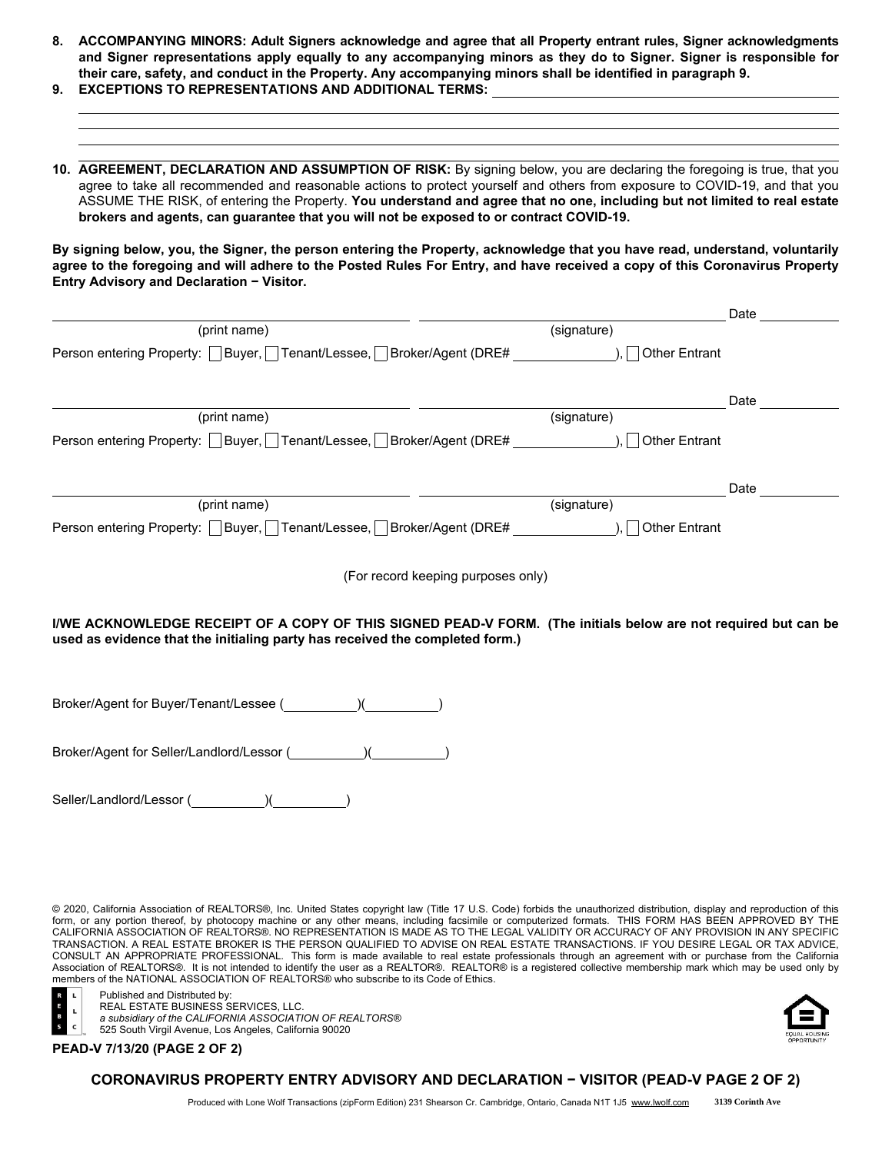- 8. ACCOMPANYING MINORS: Adult Signers acknowledge and agree that all Property entrant rules, Signer acknowledgments and Signer representations apply equally to any accompanying minors as they do to Signer. Signer is responsible for their care, safety, and conduct in the Property. Any accompanying minors shall be identified in paragraph 9. 9. EXCEPTIONS TO REPRESENTATIONS AND ADDITIONAL TERMS:
- 10. AGREEMENT, DECLARATION AND ASSUMPTION OF RISK: By signing below, you are declaring the foregoing is true, that you

agree to take all recommended and reasonable actions to protect yourself and others from exposure to COVID-19, and that you ASSUME THE RISK, of entering the Property. You understand and agree that no one, including but not limited to real estate brokers and agents, can guarantee that you will not be exposed to or contract COVID-19.

By signing below, you, the Signer, the person entering the Property, acknowledge that you have read, understand, voluntarily agree to the foregoing and will adhere to the Posted Rules For Entry, and have received a copy of this Coronavirus Property Entry Advisory and Declaration − Visitor.

|                                                                                                                |                      | Date |
|----------------------------------------------------------------------------------------------------------------|----------------------|------|
| (print name)                                                                                                   | (signature)          |      |
| Person entering Property: □ Buyer, □ Tenant/Lessee, □ Broker/Agent (DRE#                                       | <b>Other Entrant</b> |      |
|                                                                                                                |                      | Date |
| (print name)                                                                                                   | (signature)          |      |
| Person entering Property:   Buyer,   Tenant/Lessee,   Broker/Agent (DRE#                                       | <b>Other Entrant</b> |      |
|                                                                                                                |                      | Date |
| (print name)                                                                                                   | (signature)          |      |
| Person entering Property: □ Buyer, □ Tenant/Lessee, □ Broker/Agent (DRE#                                       | <b>Other Entrant</b> |      |
| (For record keeping purposes only)                                                                             |                      |      |
| I/WE ACKNOWLEDGE RECEIPT OF A COPY OF THIS SIGNED PEAD-V FORM. (The initials below are not required but can be |                      |      |

used as evidence that the initialing party has received the completed form.)

Broker/Agent for Buyer/Tenant/Lessee ( )( )

Broker/Agent for Seller/Landlord/Lessor (
)

Seller/Landlord/Lessor (
)

© 2020, California Association of REALTORS®, Inc. United States copyright law (Title 17 U.S. Code) forbids the unauthorized distribution, display and reproduction of this form, or any portion thereof, by photocopy machine or any other means, including facsimile or computerized formats. THIS FORM HAS BEEN APPROVED BY THE<br>CALIFORNIA ASSOCIATION OF REALTORS®. NO REPRESENTATION IS MADE AS TO TH TRANSACTION. A REAL ESTATE BROKER IS THE PERSON QUALIFIED TO ADVISE ON REAL ESTATE TRANSACTIONS. IF YOU DESIRE LEGAL OR TAX ADVICE, CONSULT AN APPROPRIATE PROFESSIONAL. This form is made available to real estate professionals through an agreement with or purchase from the California Association of REALTORS®. It is not intended to identify the user as a REALTOR®. REALTOR® is a registered collective membership mark which may be used only by members of the NATIONAL ASSOCIATION OF REALTORS® who subscribe to its Code of Ethics.



Published and Distributed by: REAL ESTATE BUSINESS SERVICES, LLC.

*a subsidiary of the CALIFORNIA ASSOCIATION OF REALTORS®* 525 South Virgil Avenue, Los Angeles, California 90020





#### CORONAVIRUS PROPERTY ENTRY ADVISORY AND DECLARATION − VISITOR (PEAD-V PAGE 2 OF 2)

Produced with Lone Wolf Transactions (zipForm Edition) 231 Shearson Cr. Cambridge, Ontario, Canada N1T 1J5 www.lwolf.com **3139 Corinth Ave**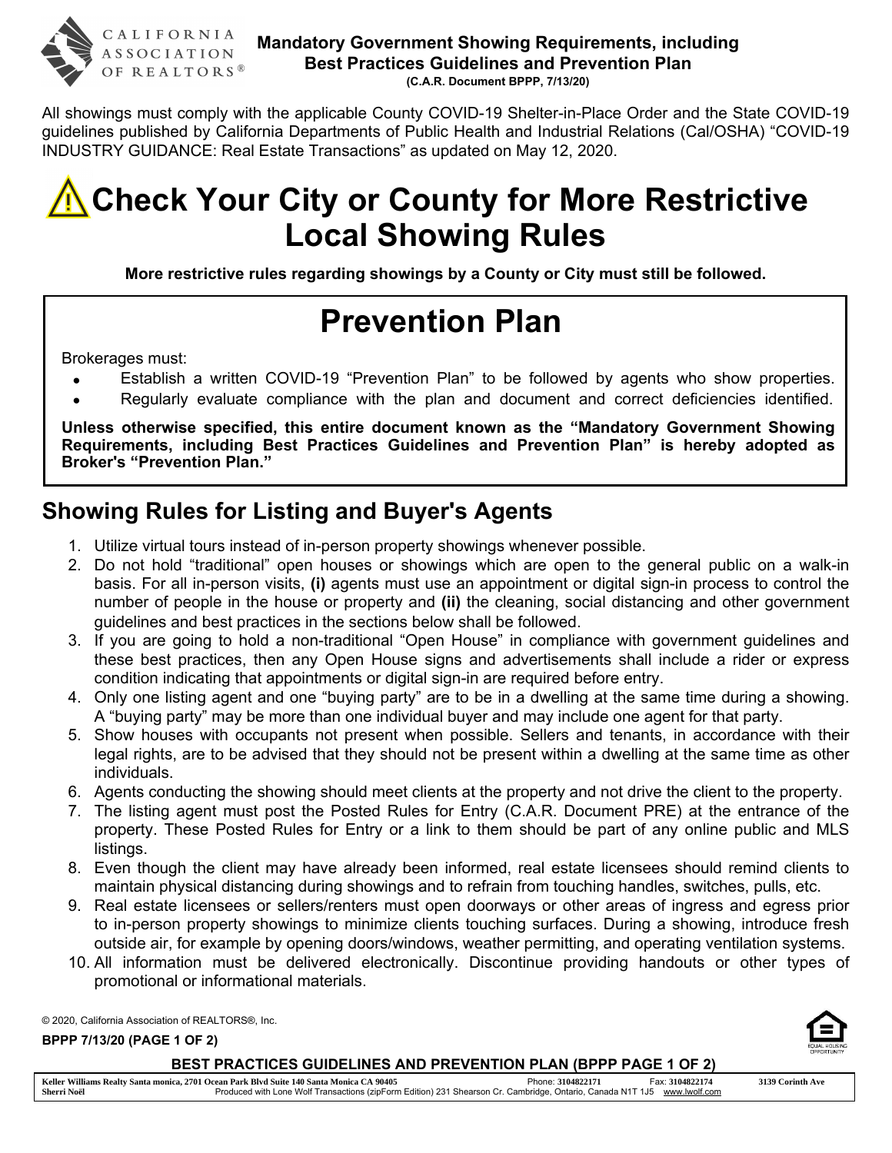

All showings must comply with the applicable County COVID-19 Shelter-in-Place Order and the State COVID-19 guidelines published by California Departments of Public Health and Industrial Relations (Cal/OSHA) "COVID-19 INDUSTRY GUIDANCE: Real Estate Transactions" as updated on May 12, 2020.



More restrictive rules regarding showings by a County or City must still be followed.

# Prevention Plan

Brokerages must:

- Establish a written COVID-19 "Prevention Plan" to be followed by agents who show properties.
- Regularly evaluate compliance with the plan and document and correct deficiencies identified.

Unless otherwise specified, this entire document known as the "Mandatory Government Showing Requirements, including Best Practices Guidelines and Prevention Plan" is hereby adopted as Broker's "Prevention Plan."

## Showing Rules for Listing and Buyer's Agents

- 1. Utilize virtual tours instead of in-person property showings whenever possible.
- 2. Do not hold "traditional" open houses or showings which are open to the general public on a walk-in basis. For all in-person visits, (i) agents must use an appointment or digital sign-in process to control the number of people in the house or property and (ii) the cleaning, social distancing and other government guidelines and best practices in the sections below shall be followed.
- 3. If you are going to hold a non-traditional "Open House" in compliance with government guidelines and these best practices, then any Open House signs and advertisements shall include a rider or express condition indicating that appointments or digital sign-in are required before entry.
- 4. Only one listing agent and one "buying party" are to be in a dwelling at the same time during a showing. A "buying party" may be more than one individual buyer and may include one agent for that party.
- 5. Show houses with occupants not present when possible. Sellers and tenants, in accordance with their legal rights, are to be advised that they should not be present within a dwelling at the same time as other individuals.
- 6. Agents conducting the showing should meet clients at the property and not drive the client to the property.
- 7. The listing agent must post the Posted Rules for Entry (C.A.R. Document PRE) at the entrance of the property. These Posted Rules for Entry or a link to them should be part of any online public and MLS listings.
- 8. Even though the client may have already been informed, real estate licensees should remind clients to maintain physical distancing during showings and to refrain from touching handles, switches, pulls, etc.
- 9. Real estate licensees or sellers/renters must open doorways or other areas of ingress and egress prior to in-person property showings to minimize clients touching surfaces. During a showing, introduce fresh outside air, for example by opening doors/windows, weather permitting, and operating ventilation systems.
- 10. All information must be delivered electronically. Discontinue providing handouts or other types of promotional or informational materials.

© 2020, California Association of REALTORS®, Inc.

BPPP 7/13/20 (PAGE 1 OF 2)

BEST PRACTICES GUIDELINES AND PREVENTION PLAN (BPPP PAGE 1 OF 2)